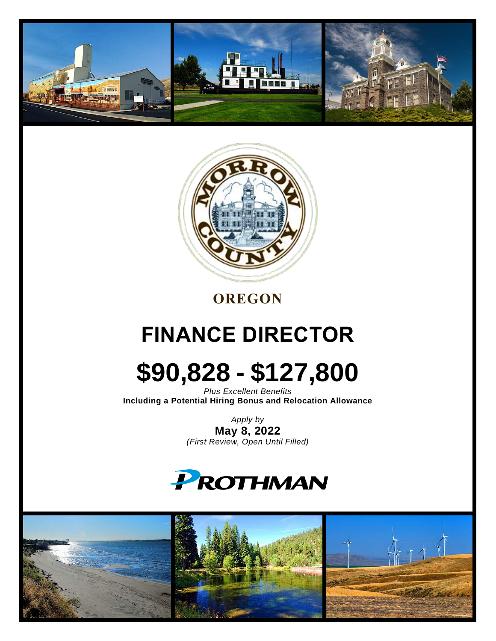



## **OREGON**

# **FINANCE DIRECTOR**

# **\$90,828 - \$127,800**

*Plus Excellent Benefits* **Including a Potential Hiring Bonus and Relocation Allowance**

> *Apply by* **May 8, 2022** *(First Review, Open Until Filled)*



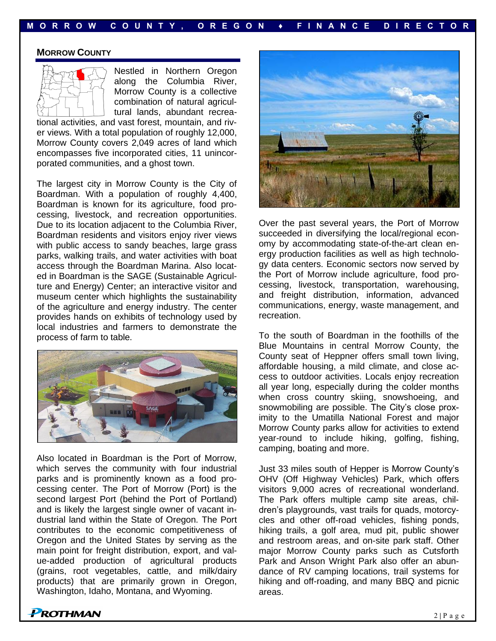#### **MORROW COUNTY**



Nestled in Northern Oregon along the Columbia River, Morrow County is a collective combination of natural agricultural lands, abundant recrea-

tional activities, and vast forest, mountain, and river views. With a total population of roughly 12,000, Morrow County covers 2,049 acres of land which encompasses five incorporated cities, 11 unincorporated communities, and a ghost town.

The largest city in Morrow County is the City of Boardman. With a population of roughly 4,400, Boardman is known for its agriculture, food processing, livestock, and recreation opportunities. Due to its location adjacent to the Columbia River, Boardman residents and visitors enjoy river views with public access to sandy beaches, large grass parks, walking trails, and water activities with boat access through the Boardman Marina. Also located in Boardman is the SAGE (Sustainable Agriculture and Energy) Center; an interactive visitor and museum center which highlights the sustainability of the agriculture and energy industry. The center provides hands on exhibits of technology used by local industries and farmers to demonstrate the process of farm to table.



Also located in Boardman is the Port of Morrow, which serves the community with four industrial parks and is prominently known as a food processing center. The Port of Morrow (Port) is the second largest Port (behind the Port of Portland) and is likely the largest single owner of vacant industrial land within the State of Oregon. The Port contributes to the economic competitiveness of Oregon and the United States by serving as the main point for freight distribution, export, and value-added production of agricultural products (grains, root vegetables, cattle, and milk/dairy products) that are primarily grown in Oregon, Washington, Idaho, Montana, and Wyoming.



Over the past several years, the Port of Morrow succeeded in diversifying the local/regional economy by accommodating state-of-the-art clean energy production facilities as well as high technology data centers. Economic sectors now served by the Port of Morrow include agriculture, food processing, livestock, transportation, warehousing, and freight distribution, information, advanced communications, energy, waste management, and recreation.

To the south of Boardman in the foothills of the Blue Mountains in central Morrow County, the County seat of Heppner offers small town living, affordable housing, a mild climate, and close access to outdoor activities. Locals enjoy recreation all year long, especially during the colder months when cross country skiing, snowshoeing, and snowmobiling are possible. The City's close proximity to the Umatilla National Forest and major Morrow County parks allow for activities to extend year-round to include hiking, golfing, fishing, camping, boating and more.

Just 33 miles south of Hepper is Morrow County's OHV (Off Highway Vehicles) Park, which offers visitors 9,000 acres of recreational wonderland. The Park offers multiple camp site areas, children's playgrounds, vast trails for quads, motorcycles and other off-road vehicles, fishing ponds, hiking trails, a golf area, mud pit, public shower and restroom areas, and on-site park staff. Other major Morrow County parks such as Cutsforth Park and Anson Wright Park also offer an abundance of RV camping locations, trail systems for hiking and off-roading, and many BBQ and picnic areas.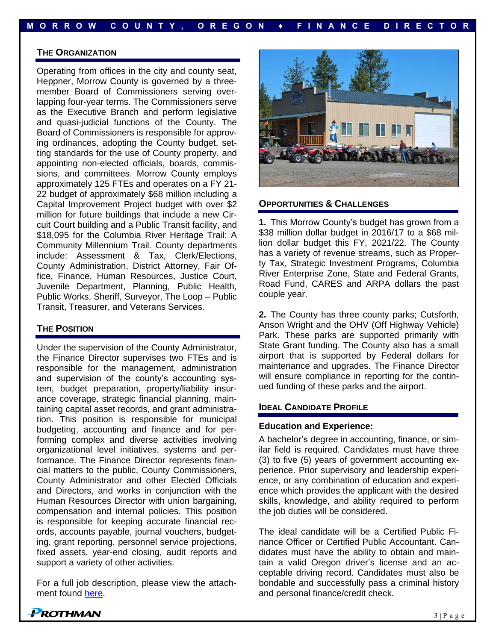#### **THE ORGANIZATION**

Operating from offices in the city and county seat, Heppner, Morrow County is governed by a threemember Board of Commissioners serving overlapping four-year terms. The Commissioners serve as the Executive Branch and perform legislative and quasi-judicial functions of the County. The Board of Commissioners is responsible for approving ordinances, adopting the County budget, setting standards for the use of County property, and appointing non-elected officials, boards, commissions, and committees. Morrow County employs approximately 125 FTEs and operates on a FY 21- 22 budget of approximately \$68 million including a Capital Improvement Project budget with over \$2 million for future buildings that include a new Circuit Court building and a Public Transit facility, and \$18,095 for the Columbia River Heritage Trail: A Community Millennium Trail. County departments include: Assessment & Tax, Clerk/Elections, County Administration, District Attorney, Fair Office, Finance, Human Resources, Justice Court, Juvenile Department, Planning, Public Health, Public Works, Sheriff, Surveyor, The Loop – Public Transit, Treasurer, and Veterans Services.

#### **THE POSITION**

Under the supervision of the County Administrator, the Finance Director supervises two FTEs and is responsible for the management, administration and supervision of the county's accounting system, budget preparation, property/liability insurance coverage, strategic financial planning, maintaining capital asset records, and grant administration. This position is responsible for municipal budgeting, accounting and finance and for performing complex and diverse activities involving organizational level initiatives, systems and performance. The Finance Director represents financial matters to the public, County Commissioners, County Administrator and other Elected Officials and Directors, and works in conjunction with the Human Resources Director with union bargaining, compensation and internal policies. This position is responsible for keeping accurate financial records, accounts payable, journal vouchers, budgeting, grant reporting, personnel service projections, fixed assets, year-end closing, audit reports and support a variety of other activities.

For a full job description, please view the attachment found [here.](https://www.prothman.com/JobFiles/2959/Finance%20Director%20Job%20Description%202022.pdf)



#### **OPPORTUNITIES & CHALLENGES**

**1.** This Morrow County's budget has grown from a \$38 million dollar budget in 2016/17 to a \$68 million dollar budget this FY, 2021/22. The County has a variety of revenue streams, such as Property Tax, Strategic Investment Programs, Columbia River Enterprise Zone, State and Federal Grants, Road Fund, CARES and ARPA dollars the past couple year.

**2.** The County has three county parks; Cutsforth, Anson Wright and the OHV (Off Highway Vehicle) Park. These parks are supported primarily with State Grant funding. The County also has a small airport that is supported by Federal dollars for maintenance and upgrades. The Finance Director will ensure compliance in reporting for the continued funding of these parks and the airport.

#### **IDEAL CANDIDATE PROFILE**

#### **Education and Experience:**

A bachelor's degree in accounting, finance, or similar field is required. Candidates must have three (3) to five (5) years of government accounting experience. Prior supervisory and leadership experience, or any combination of education and experience which provides the applicant with the desired skills, knowledge, and ability required to perform the job duties will be considered.

The ideal candidate will be a Certified Public Finance Officer or Certified Public Accountant. Candidates must have the ability to obtain and maintain a valid Oregon driver's license and an acceptable driving record. Candidates must also be bondable and successfully pass a criminal history and personal finance/credit check.